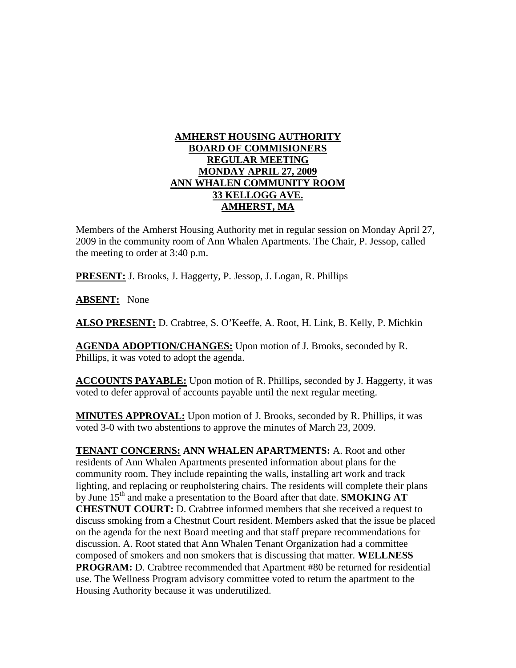## **AMHERST HOUSING AUTHORITY BOARD OF COMMISIONERS REGULAR MEETING MONDAY APRIL 27, 2009 ANN WHALEN COMMUNITY ROOM 33 KELLOGG AVE. AMHERST, MA**

Members of the Amherst Housing Authority met in regular session on Monday April 27, 2009 in the community room of Ann Whalen Apartments. The Chair, P. Jessop, called the meeting to order at 3:40 p.m.

**PRESENT:** J. Brooks, J. Haggerty, P. Jessop, J. Logan, R. Phillips

**ABSENT:** None

**ALSO PRESENT:** D. Crabtree, S. O'Keeffe, A. Root, H. Link, B. Kelly, P. Michkin

**AGENDA ADOPTION/CHANGES:** Upon motion of J. Brooks, seconded by R. Phillips, it was voted to adopt the agenda.

**ACCOUNTS PAYABLE:** Upon motion of R. Phillips, seconded by J. Haggerty, it was voted to defer approval of accounts payable until the next regular meeting.

**MINUTES APPROVAL:** Upon motion of J. Brooks, seconded by R. Phillips, it was voted 3-0 with two abstentions to approve the minutes of March 23, 2009.

**TENANT CONCERNS: ANN WHALEN APARTMENTS:** A. Root and other residents of Ann Whalen Apartments presented information about plans for the community room. They include repainting the walls, installing art work and track lighting, and replacing or reupholstering chairs. The residents will complete their plans by June 15<sup>th</sup> and make a presentation to the Board after that date. **SMOKING AT CHESTNUT COURT:** D. Crabtree informed members that she received a request to discuss smoking from a Chestnut Court resident. Members asked that the issue be placed on the agenda for the next Board meeting and that staff prepare recommendations for discussion. A. Root stated that Ann Whalen Tenant Organization had a committee composed of smokers and non smokers that is discussing that matter. **WELLNESS PROGRAM:** D. Crabtree recommended that Apartment #80 be returned for residential use. The Wellness Program advisory committee voted to return the apartment to the Housing Authority because it was underutilized.